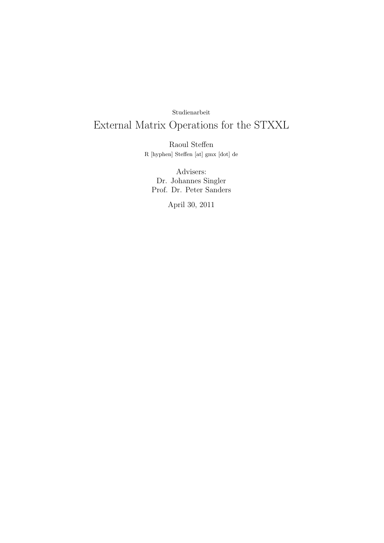# Studienarbeit

# External Matrix Operations for the STXXL

Raoul Steffen R [hyphen] Steffen [at] gmx [dot] de

Advisers: Dr. Johannes Singler Prof. Dr. Peter Sanders

April 30, 2011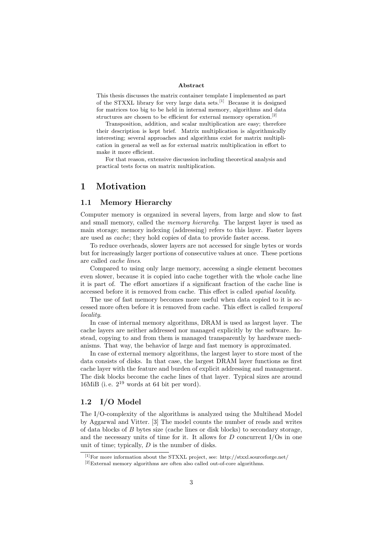#### Abstract

This thesis discusses the matrix container template I implemented as part of the STXXL library for very large data sets.[1] Because it is designed for matrices too big to be held in internal memory, algorithms and data structures are chosen to be efficient for external memory operation.<sup>[2]</sup>

Transposition, addition, and scalar multiplication are easy; therefore their description is kept brief. Matrix multiplication is algorithmically interesting; several approaches and algorithms exist for matrix multiplication in general as well as for external matrix multiplication in effort to make it more efficient.

For that reason, extensive discussion including theoretical analysis and practical tests focus on matrix multiplication.

# 1 Motivation

## 1.1 Memory Hierarchy

Computer memory is organized in several layers, from large and slow to fast and small memory, called the *memory hierarchy*. The largest layer is used as main storage; memory indexing (addressing) refers to this layer. Faster layers are used as cache; they hold copies of data to provide faster access.

To reduce overheads, slower layers are not accessed for single bytes or words but for increasingly larger portions of consecutive values at once. These portions are called cache lines.

Compared to using only large memory, accessing a single element becomes even slower, because it is copied into cache together with the whole cache line it is part of. The effort amortizes if a significant fraction of the cache line is accessed before it is removed from cache. This effect is called spatial locality.

The use of fast memory becomes more useful when data copied to it is accessed more often before it is removed from cache. This effect is called temporal locality.

In case of internal memory algorithms, DRAM is used as largest layer. The cache layers are neither addressed nor managed explicitly by the software. Instead, copying to and from them is managed transparently by hardware mechanisms. That way, the behavior of large and fast memory is approximated.

In case of external memory algorithms, the largest layer to store most of the data consists of disks. In that case, the largest DRAM layer functions as first cache layer with the feature and burden of explicit addressing and management. The disk blocks become the cache lines of that layer. Typical sizes are around 16MiB (i.e.  $2^{19}$  words at 64 bit per word).

# 1.2 I/O Model

The I/O-complexity of the algorithms is analyzed using the Multihead Model by Aggarwal and Vitter. [3] The model counts the number of reads and writes of data blocks of B bytes size (cache lines or disk blocks) to secondary storage, and the necessary units of time for it. It allows for  $D$  concurrent I/Os in one unit of time; typically,  $D$  is the number of disks.

[1]For more information about the STXXL project, see: http://stxxl.sourceforge.net/

<sup>&</sup>lt;sup>[2]</sup>External memory algorithms are often also called out-of-core algorithms.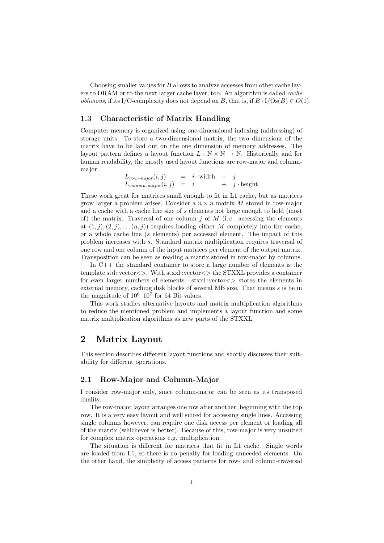Choosing smaller values for B allows to analyze accesses from other cache layers to DRAM or to the next larger cache layer, too. An algorithm is called *cache oblivious*, if its I/O-complexity does not depend on B, that is, if  $B \cdot I/Os(B) \in O(1)$ .

## 1.3 Characteristic of Matrix Handling

Computer memory is organized using one-dimensional indexing (addressing) of storage units. To store a two-dimensional matrix, the two dimensions of the matrix have to be laid out on the one dimension of memory addresses. The layout pattern defines a layout function  $L : \mathbb{N} \times \mathbb{N} \to \mathbb{N}$ . Historically and for human readability, the mostly used layout functions are row-major and columnmajor.

$$
L_{row-major}(i,j) = i \cdot \text{width} + j
$$
  
\n
$$
L_{column-major}(i,j) = i + j \cdot \text{height}
$$

These work great for matrices small enough to fit in L1 cache, but as matrices grow larger a problem arises. Consider a  $n \times n$  matrix M stored in row-major and a cache with a cache line size of s elements not large enough to hold (most of) the matrix. Traversal of one column  $j$  of  $M$  (i.e. accessing the elements at  $(1, j), (2, j), \ldots (n, j)$  requires loading either M completely into the cache, or a whole cache line (s elements) per accessed element. The impact of this problem increases with s. Standard matrix multiplication requires traversal of one row and one column of the input matrices per element of the output matrix. Transposition can be seen as reading a matrix stored in row-major by columns.

In C++ the standard container to store a large number of elements is the template std::vector<>. With stxxl::vector<> the STXXL provides a container for even larger numbers of elements. stxxl::vector<> stores the elements in external memory, caching disk blocks of several MB size. That means s is be in the magnitude of  $10^6$ - $10^7$  for 64 Bit values.

This work studies alternative layouts and matrix multiplication algorithms to reduce the mentioned problem and implements a layout function and some matrix multiplication algorithms as new parts of the STXXL.

# 2 Matrix Layout

This section describes different layout functions and shortly discusses their suitability for different operations.

#### 2.1 Row-Major and Column-Major

I consider row-major only, since column-major can be seen as its transposed duality.

The row-major layout arranges one row after another, beginning with the top row. It is a very easy layout and well suited for accessing single lines. Accessing single columns however, can require one disk access per element or loading all of the matrix (whichever is better). Because of this, row-major is very unsuited for complex matrix operations e.g. multiplication.

The situation is different for matrices that fit in L1 cache. Single words are loaded from L1, so there is no penalty for loading unneeded elements. On the other hand, the simplicity of access patterns for row- and column-traversal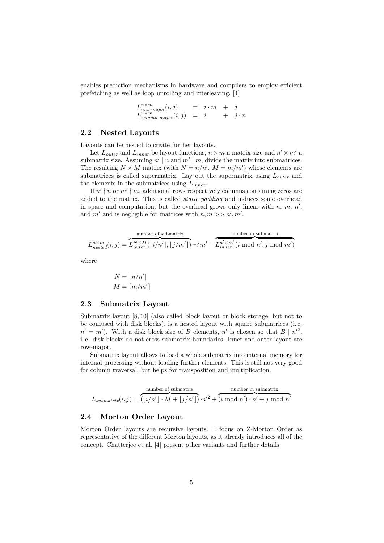enables prediction mechanisms in hardware and compilers to employ efficient prefetching as well as loop unrolling and interleaving. [4]

$$
L_{row-major}^{n \times m}(i,j) = i \cdot m + j
$$
  
\n
$$
L_{column-major}^{n \times m}(i,j) = i + j \cdot n
$$

# 2.2 Nested Layouts

Layouts can be nested to create further layouts.

Let  $L_{outer}$  and  $L_{inner}$  be layout functions,  $n \times m$  a matrix size and  $n' \times m'$  a submatrix size. Assuming  $n' | n$  and  $m' | m$ , divide the matrix into submatrices. The resulting  $N \times M$  matrix (with  $N = n/n'$ ,  $M = m/m'$ ) whose elements are submatrices is called supermatrix. Lay out the supermatrix using  $L_{outer}$  and the elements in the submatrices using  $L_{inner}$ .

If  $n' \nmid n$  or  $m' \nmid m$ , additional rows respectively columns containing zeros are added to the matrix. This is called static padding and induces some overhead in space and computation, but the overhead grows only linear with  $n, m, n',$ and m' and is negligible for matrices with  $n, m >> n', m'$ .

$$
L^{n \times m}_{nested}(i,j) = \overbrace{L^{N \times M}_{outer}(\lfloor i/n' \rfloor, \lfloor j/m' \rfloor)}^{\text{number of submatrix}} \cdot n'm' + \overbrace{L^{n' \times m'}_{inner}(i \text{ mod } n', j \text{ mod } m')}^{\text{number in submatrix}}
$$

where

$$
N = \lceil n/n' \rceil
$$
  

$$
M = \lceil m/m' \rceil
$$

### 2.3 Submatrix Layout

Submatrix layout [8, 10] (also called block layout or block storage, but not to be confused with disk blocks), is a nested layout with square submatrices (i. e.  $n' = m'$ ). With a disk block size of B elements, n' is chosen so that  $B | n'^2$ , i. e. disk blocks do not cross submatrix boundaries. Inner and outer layout are row-major.

Submatrix layout allows to load a whole submatrix into internal memory for internal processing without loading further elements. This is still not very good for column traversal, but helps for transposition and multiplication.

$$
L_{submatrix}(i,j) = \overbrace{(\lfloor i/n' \rfloor \cdot M + \lfloor j/n' \rfloor)}^{\text{number of submatrix}} \cdot n'^2 + \overbrace{(i \bmod n') \cdot n' + j \bmod n'}^{\text{number in submatrix}}
$$

### 2.4 Morton Order Layout

Morton Order layouts are recursive layouts. I focus on Z-Morton Order as representative of the different Morton layouts, as it already introduces all of the concept. Chatterjee et al. [4] present other variants and further details.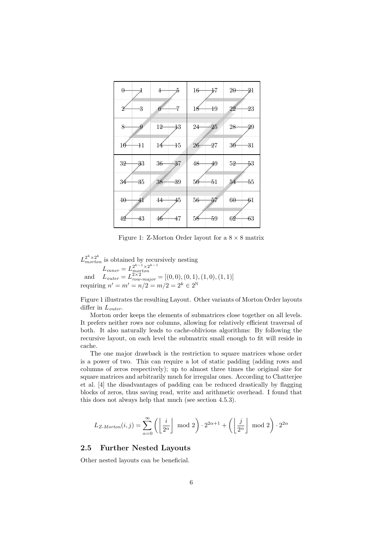| $\theta$       | 5              | 16              | $2\theta$       |
|----------------|----------------|-----------------|-----------------|
|                | 4              | 17              | $\frac{1}{2}$   |
| 3              | 7              | $\overline{19}$ | $^{23}$         |
| 2              | 6              | 18              | 22              |
| 8              | 12             | $\overline{25}$ | 28              |
| 9              | $\ddagger 3$   | 24              | 29              |
| $\pm 1$        | $\pm 5$        | 26              | 36              |
| 16             | 14             | $\overline{27}$ | $\overline{31}$ |
| 32             | 36             | 48              | 5 <sup>2</sup>  |
| <del>3</del> 3 | $\frac{37}{2}$ | 49              | 53              |
| 35             | 38             | $-51$           | $-55$           |
| 34             | 39             | 56              | 54              |
| $40 -$         | 44             | 56              | $6\theta$       |
| $41\,$         | 45             | $\overline{57}$ | 61              |
| 42             | 47             | 59              | 62              |
| 43             | 46             | 58              | 63              |

Figure 1: Z-Morton Order layout for a  $8 \times 8$  matrix

 $L_{morton}^{2^k \times 2^k}$  is obtained by recursively nesting  $L_{inner} = L_{motion}^{2^{k-1} \times 2^{k-1}}$ and  $L_{outer} = L_{nonton}^{poston}$ <br>  $L_{outer} = L_{row-major}^{2 \times 2} = [(0,0), (0,1), (1,0), (1,1)]$ requiring  $n' = m' = n/2 = m/2 = 2^k \in 2^{\mathbb{N}}$ 

Figure 1 illustrates the resulting Layout. Other variants of Morton Order layouts differ in  $L_{outer}$ .

Morton order keeps the elements of submatrices close together on all levels. It prefers neither rows nor columns, allowing for relatively efficient traversal of both. It also naturally leads to cache-oblivious algorithms: By following the recursive layout, on each level the submatrix small enough to fit will reside in cache.

The one major drawback is the restriction to square matrices whose order is a power of two. This can require a lot of static padding (adding rows and columns of zeros respectively); up to almost three times the original size for square matrices and arbitrarily much for irregular ones. According to Chatterjee et al. [4] the disadvantages of padding can be reduced drastically by flagging blocks of zeros, thus saving read, write and arithmetic overhead. I found that this does not always help that much (see section 4.5.3).

$$
L_{Z-Morton}(i,j) = \sum_{\alpha=0}^{\infty} \left( \left\lfloor \frac{i}{2^{\alpha}} \right\rfloor \mod 2 \right) \cdot 2^{2\alpha+1} + \left( \left\lfloor \frac{j}{2^{\alpha}} \right\rfloor \mod 2 \right) \cdot 2^{2\alpha}
$$

# 2.5 Further Nested Layouts

Other nested layouts can be beneficial.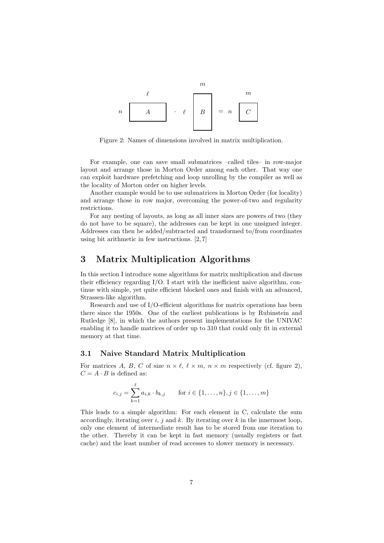

Figure 2: Names of dimensions involved in matrix multiplication.

For example, one can save small submatrices –called tiles– in row-major layout and arrange those in Morton Order among each other. That way one can exploit hardware prefetching and loop unrolling by the compiler as well as the locality of Morton order on higher levels.

Another example would be to use submatrices in Morton Order (for locality) and arrange those in row major, overcoming the power-of-two and regularity restrictions.

For any nesting of layouts, as long as all inner sizes are powers of two (they do not have to be square), the addresses can be kept in one unsigned integer. Addresses can then be added/subtracted and transformed to/from coordinates using bit arithmetic in few instructions. [2, 7]

# 3 Matrix Multiplication Algorithms

In this section I introduce some algorithms for matrix multiplication and discuss their efficiency regarding  $I/O$ . I start with the inefficient naive algorithm, continue with simple, yet quite efficient blocked ones and finish with an advanced, Strassen-like algorithm.

Research and use of I/O-efficient algorithms for matrix operations has been there since the 1950s. One of the earliest publications is by Rubinstein and Rutledge [8], in which the authors present implementations for the UNIVAC enabling it to handle matrices of order up to 310 that could only fit in external memory at that time.

## 3.1 Naive Standard Matrix Multiplication

For matrices A, B, C of size  $n \times \ell$ ,  $\ell \times m$ ,  $n \times m$  respectively (cf. figure 2),  $C = A \cdot B$  is defined as:

$$
c_{i,j} = \sum_{k=1}^{\ell} a_{i,k} \cdot b_{k,j} \quad \text{for } i \in \{1, \dots, n\}, j \in \{1, \dots, m\}
$$

This leads to a simple algorithm: For each element in C, calculate the sum accordingly, iterating over i, j and k. By iterating over k in the innermost loop, only one element of intermediate result has to be stored from one iteration to the other. Thereby it can be kept in fast memory (usually registers or fast cache) and the least number of read accesses to slower memory is necessary.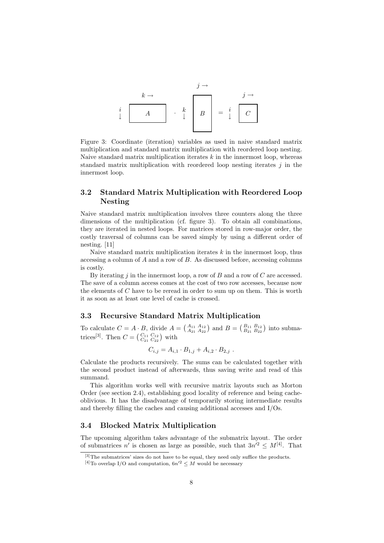

Figure 3: Coordinate (iteration) variables as used in naive standard matrix multiplication and standard matrix multiplication with reordered loop nesting. Naive standard matrix multiplication iterates  $k$  in the innermost loop, whereas standard matrix multiplication with reordered loop nesting iterates  $j$  in the innermost loop.

# 3.2 Standard Matrix Multiplication with Reordered Loop Nesting

Naive standard matrix multiplication involves three counters along the three dimensions of the multiplication (cf. figure 3). To obtain all combinations, they are iterated in nested loops. For matrices stored in row-major order, the costly traversal of columns can be saved simply by using a different order of nesting. [11]

Naive standard matrix multiplication iterates  $k$  in the innermost loop, thus accessing a column of A and a row of B. As discussed before, accessing columns is costly.

By iterating  $j$  in the innermost loop, a row of  $B$  and a row of  $C$  are accessed. The save of a column access comes at the cost of two row accesses, because now the elements of  $C$  have to be reread in order to sum up on them. This is worth it as soon as at least one level of cache is crossed.

# 3.3 Recursive Standard Matrix Multiplication

To calculate  $C = A \cdot B$ , divide  $A = \begin{pmatrix} A_{11} & A_{12} \\ A_{21} & A_{22} \end{pmatrix}$  and  $B = \begin{pmatrix} B_{11} & B_{12} \\ B_{21} & B_{22} \end{pmatrix}$  into submatrices<sup>[3]</sup>. Then  $C = \begin{pmatrix} C_{11} & C_{12} \\ C_{21} & C_{22} \end{pmatrix}$  with

$$
C_{i,j} = A_{i,1} \cdot B_{1,j} + A_{i,2} \cdot B_{2,j} .
$$

Calculate the products recursively. The sums can be calculated together with the second product instead of afterwards, thus saving write and read of this summand.

This algorithm works well with recursive matrix layouts such as Morton Order (see section 2.4), establishing good locality of reference and being cacheoblivious. It has the disadvantage of temporarily storing intermediate results and thereby filling the caches and causing additional accesses and I/Os.

# 3.4 Blocked Matrix Multiplication

The upcoming algorithm takes advantage of the submatrix layout. The order of submatrices n' is chosen as large as possible, such that  $3n'^2 \leq M^{[4]}$ . That

<sup>[3]</sup> The submatrices' sizes do not have to be equal, they need only suffice the products.

<sup>&</sup>lt;sup>[4]</sup>To overlap I/O and computation,  $6n^2 \leq M$  would be necessary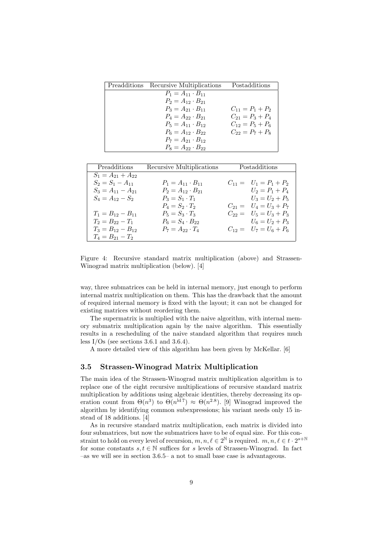| Preadditions Recursive Multiplications | Postadditions        |
|----------------------------------------|----------------------|
| $P_1 = A_{11} \cdot B_{11}$            |                      |
| $P_2 = A_{12} \cdot B_{21}$            |                      |
| $P_3 = A_{21} \cdot B_{11}$            | $C_{11} = P_1 + P_2$ |
| $P_4 = A_{22} \cdot B_{21}$            | $C_{21} = P_3 + P_4$ |
| $P_5 = A_{11} \cdot B_{12}$            | $C_{12} = P_5 + P_6$ |
| $P_6 = A_{12} \cdot B_{22}$            | $C_{22} = P_7 + P_8$ |
| $P_7 = A_{21} \cdot B_{12}$            |                      |
| $P_8 = A_{22} \cdot B_{22}$            |                      |

| Preadditions            | Recursive Multiplications   | Postadditions              |
|-------------------------|-----------------------------|----------------------------|
| $S_1 = A_{21} + A_{22}$ |                             |                            |
| $S_2 = S_1 - A_{11}$    | $P_1 = A_{11} \cdot B_{11}$ | $C_{11} = U_1 = P_1 + P_2$ |
| $S_3 = A_{11} - A_{21}$ | $P_2 = A_{12} \cdot B_{21}$ | $U_2 = P_1 + P_4$          |
| $S_4 = A_{12} - S_2$    | $P_3 = S_1 \cdot T_1$       | $U_3 = U_2 + P_5$          |
|                         | $P_4 = S_2 \cdot T_2$       | $C_{21} = U_4 = U_3 + P_7$ |
| $T_1 = B_{12} - B_{11}$ | $P_5 = S_3 \cdot T_3$       | $C_{22} = U_5 = U_3 + P_3$ |
| $T_2 = B_{22} - T_1$    | $P_6 = S_4 \cdot B_{22}$    | $U_6 = U_2 + P_3$          |
| $T_3 = B_{12} - B_{12}$ | $P_7 = A_{22} \cdot T_4$    | $C_{12} = U_7 = U_6 + P_6$ |
| $T_4 = B_{21} - T_2$    |                             |                            |

Figure 4: Recursive standard matrix multiplication (above) and Strassen-Winograd matrix multiplication (below). [4]

way, three submatrices can be held in internal memory, just enough to perform internal matrix multiplication on them. This has the drawback that the amount of required internal memory is fixed with the layout; it can not be changed for existing matrices without reordering them.

The supermatrix is multiplied with the naive algorithm, with internal memory submatrix multiplication again by the naive algorithm. This essentially results in a rescheduling of the naive standard algorithm that requires much less  $I/Os$  (see sections 3.6.1 and 3.6.4).

A more detailed view of this algorithm has been given by McKellar. [6]

### 3.5 Strassen-Winograd Matrix Multiplication

The main idea of the Strassen-Winograd matrix multiplication algorithm is to replace one of the eight recursive multiplications of recursive standard matrix multiplication by additions using algebraic identities, thereby decreasing its operation count from  $\Theta(n^3)$  to  $\Theta(n^{\text{ld 7}}) \approx \Theta(n^{2.8})$ . [9] Winograd improved the algorithm by identifying common subexpressions; his variant needs only 15 instead of 18 additions. [4]

As in recursive standard matrix multiplication, each matrix is divided into four submatrices, but now the submatrices have to be of equal size. For this constraint to hold on every level of recursion,  $m, n, \ell \in 2^{\mathbb{N}}$  is required.  $m, n, \ell \in t \cdot 2^{s+\mathbb{N}}$ for some constants  $s, t \in \mathbb{N}$  suffices for s levels of Strassen-Winograd. In fact –as we will see in section 3.6.5– a not to small base case is advantageous.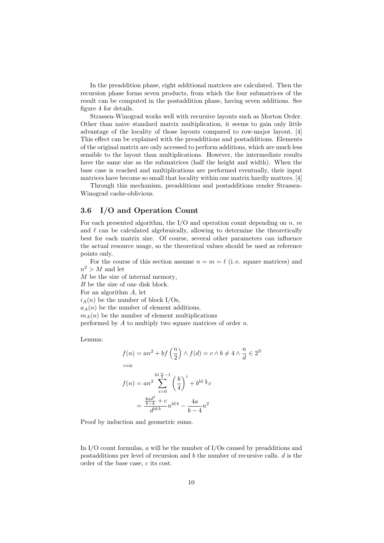In the preaddition phase, eight additional matrices are calculated. Then the recursion phase forms seven products, from which the four submatrices of the result can be computed in the postaddition phase, having seven additions. See figure 4 for details.

Strassen-Winograd works well with recursive layouts such as Morton Order. Other than naive standard matrix multiplication, it seems to gain only little advantage of the locality of those layouts compared to row-major layout. [4] This effect can be explained with the preadditions and postadditions. Elements of the original matrix are only accessed to perform additions, which are much less sensible to the layout than multiplications. However, the intermediate results have the same size as the submatrices (half the height and width). When the base case is reached and multiplications are performed eventually, their input matrices have become so small that locality within one matrix hardly matters. [4]

Through this mechanism, preadditions and postadditions render Strassen-Winograd cache-oblivious.

# 3.6 I/O and Operation Count

For each presented algorithm, the I/O and operation count depending on n, m and  $\ell$  can be calculated algebraically, allowing to determine the theoretically best for each matrix size. Of course, several other parameters can influence the actual resource usage, so the theoretical values should be used as reference points only.

For the course of this section assume  $n = m = \ell$  (i.e. square matrices) and  $n^2 > M$  and let

M be the size of internal memory,

B be the size of one disk block.

For an algorithm A, let

 $i_A(n)$  be the number of block I/Os,

 $a_A(n)$  be the number of element additions,

 $m_A(n)$  be the number of element multiplications

performed by  $A$  to multiply two square matrices of order  $n$ .

Lemma:

$$
f(n) = an^2 + bf\left(\frac{n}{2}\right) \land f(d) = c \land b \neq 4 \land \frac{n}{d} \in 2^{\mathbb{N}}
$$
  
\n
$$
\implies
$$
  
\n
$$
f(n) = an^2 \sum_{i=0}^{\lfloor d\frac{n}{d} - 1 \rfloor} \left(\frac{b}{4}\right)^i + b^{\lfloor d\frac{n}{d}}c
$$
  
\n
$$
= \frac{\frac{4ad^2}{b-4} + c}{d^{\lfloor d\frac{n}{d} \rfloor}} n^{\lfloor d\frac{n}{d} \rfloor} - \frac{4a}{b-4}n^2
$$

Proof by induction and geometric sums.

In I/O count formulas,  $\alpha$  will be the number of I/Os caused by preadditions and postadditions per level of recursion and b the number of recursive calls. d is the order of the base case, c its cost.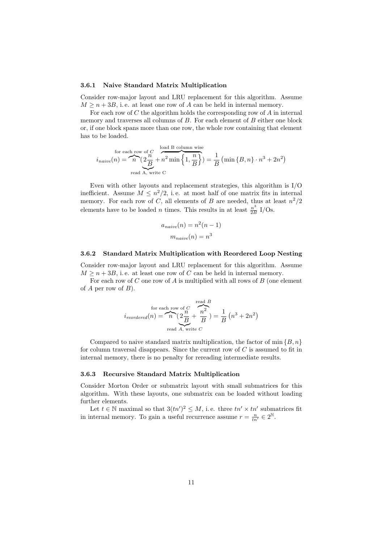#### 3.6.1 Naive Standard Matrix Multiplication

Consider row-major layout and LRU replacement for this algorithm. Assume  $M \geq n + 3B$ , i.e. at least one row of A can be held in internal memory.

For each row of  $C$  the algorithm holds the corresponding row of  $A$  in internal memory and traverses all columns of  $B$ . For each element of  $B$  either one block or, if one block spans more than one row, the whole row containing that element has to be loaded.

for each row of 
$$
C
$$
  

$$
i_{naive}(n) = \underbrace{n}_{\text{read }A, \text{ write } C} \underbrace{2\frac{n}{B} + n^2 \min\left\{1, \frac{n}{B}\right\}}_{\text{read }A, \text{ write } C} = \frac{1}{B} \left(\min\left\{B, n\right\} \cdot n^3 + 2n^2\right)
$$

Even with other layouts and replacement strategies, this algorithm is I/O inefficient. Assume  $M \leq n^2/2$ , i.e. at most half of one matrix fits in internal memory. For each row of C, all elements of B are needed, thus at least  $n^2/2$ elements have to be loaded *n* times. This results in at least  $\frac{n^3}{2F}$  $rac{n^{\circ}}{2B}$  I/Os.

$$
a_{naive}(n) = n^2(n-1)
$$

$$
m_{naive}(n) = n^3
$$

#### 3.6.2 Standard Matrix Multiplication with Reordered Loop Nesting

Consider row-major layout and LRU replacement for this algorithm. Assume  $M \geq n + 3B$ , i.e. at least one row of C can be held in internal memory.

For each row of  $C$  one row of  $A$  is multiplied with all rows of  $B$  (one element of  $A$  per row of  $B$ ).

for each row of 
$$
C
$$
  
\n
$$
i_{reordered}(n) = \underbrace{n}_{real} \underbrace{2\frac{n}{B}}_{A, \text{ write } C} + \underbrace{n^2}_{B} = \frac{1}{B} (n^3 + 2n^2)
$$

Compared to naive standard matrix multiplication, the factor of min  $\{B, n\}$ for column traversal disappears. Since the current row of  $C$  is assumed to fit in internal memory, there is no penalty for rereading intermediate results.

#### 3.6.3 Recursive Standard Matrix Multiplication

Consider Morton Order or submatrix layout with small submatrices for this algorithm. With these layouts, one submatrix can be loaded without loading further elements.

Let  $t \in \mathbb{N}$  maximal so that  $3(tn')^2 \leq M$ , i.e. three  $tn' \times tn'$  submatrices fit in internal memory. To gain a useful recurrence assume  $r = \frac{n}{tn'} \in 2^{\mathbb{N}}$ .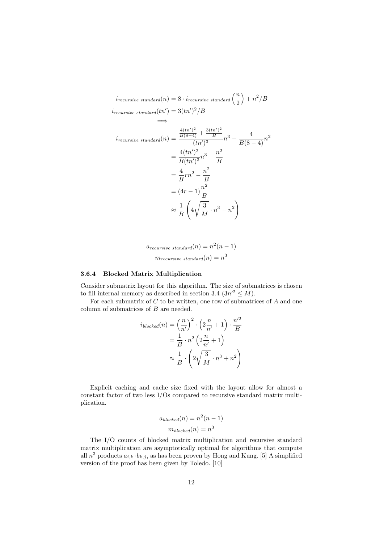$$
i_{recursive\ standard}(n) = 8 \cdot i_{recursive\ standard} \left(\frac{n}{2}\right) + n^2/B
$$
  
\n
$$
i_{recursive\ standard}(tn') = 3(tn')^2/B
$$
  
\n
$$
\implies
$$
  
\n
$$
i_{recursive\ standard}(n) = \frac{\frac{4(tn')^2}{B(8-4)} + \frac{3(tn')^2}{B}}{(tn')^3}n^3 - \frac{4}{B(8-4)}n^2
$$
  
\n
$$
= \frac{4(tn')^2}{B(tn')^3}n^3 - \frac{n^2}{B}
$$
  
\n
$$
= \frac{4}{B}rn^2 - \frac{n^2}{B}
$$
  
\n
$$
= (4r - 1)\frac{n^2}{B}
$$
  
\n
$$
\approx \frac{1}{B}\left(4\sqrt{\frac{3}{M}} \cdot n^3 - n^2\right)
$$

 $a_{recursive\ standard}(n) = n^2(n-1)$  $m_{recursive\ standard}(n) = n^3$ 

# 3.6.4 Blocked Matrix Multiplication

Consider submatrix layout for this algorithm. The size of submatrices is chosen to fill internal memory as described in section 3.4  $(3n^2 \le M)$ .

For each submatrix of  $C$  to be written, one row of submatrices of  $A$  and one column of submatrices of B are needed.

$$
i_{blocked}(n) = \left(\frac{n}{n'}\right)^2 \cdot \left(2\frac{n}{n'} + 1\right) \cdot \frac{n'^2}{B}
$$

$$
= \frac{1}{B} \cdot n^2 \left(2\frac{n}{n'} + 1\right)
$$

$$
\approx \frac{1}{B} \cdot \left(2\sqrt{\frac{3}{M}} \cdot n^3 + n^2\right)
$$

Explicit caching and cache size fixed with the layout allow for almost a constant factor of two less I/Os compared to recursive standard matrix multiplication.

$$
a_{blocked}(n) = n^2(n-1)
$$

$$
m_{blocked}(n) = n^3
$$

The I/O counts of blocked matrix multiplication and recursive standard matrix multiplication are asymptotically optimal for algorithms that compute all  $n^3$  products  $a_{i,k} \cdot b_{k,j}$ , as has been proven by Hong and Kung. [5] A simplified version of the proof has been given by Toledo. [10]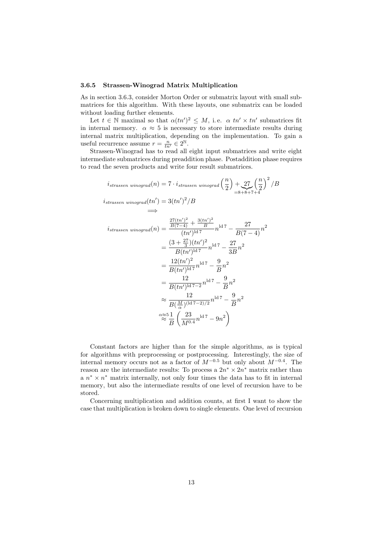#### 3.6.5 Strassen-Winograd Matrix Multiplication

As in section 3.6.3, consider Morton Order or submatrix layout with small submatrices for this algorithm. With these layouts, one submatrix can be loaded without loading further elements.

Let  $t \in \mathbb{N}$  maximal so that  $\alpha(tn')^2 \leq M$ , i.e.  $\alpha$  tn'  $\times$  tn' submatrices fit in internal memory.  $\alpha \approx 5$  is necessary to store intermediate results during internal matrix multiplication, depending on the implementation. To gain a useful recurrence assume  $r = \frac{n}{tn'} \in 2^{\mathbb{N}}$ .

Strassen-Winograd has to read all eight input submatrices and write eight intermediate submatrices during preaddition phase. Postaddition phase requires to read the seven products and write four result submatrices.

$$
i_{strassen\ winggrad}(n) = 7 \cdot i_{strassen\ winggrad}\left(\frac{n}{2}\right) + 27\left(\frac{n}{2}\right)^2 / B
$$
  
\n
$$
i_{strassen\ winggrad}(tn') = 3(tn')^2 / B
$$
  
\n
$$
\implies
$$
  
\n
$$
i_{strassen\ winggrad}(n) = \frac{\frac{27(tn')^2}{B(7-4)} + \frac{3(tn')^2}{B}}{(tn')^{1d\,7}} n^{1d\,7} - \frac{27}{B(7-4)} n^2
$$
  
\n
$$
= \frac{(3 + \frac{27}{3})(tn')^2}{B(tn')^{1d\,7}} n^{1d\,7} - \frac{27}{3B} n^2
$$
  
\n
$$
= \frac{12(tn')^2}{B(tn')^{1d\,7}} n^{1d\,7} - \frac{9}{B} n^2
$$
  
\n
$$
= \frac{12}{B(tn')^{1d\,7-2}} n^{1d\,7} - \frac{9}{B} n^2
$$
  
\n
$$
\approx \frac{12}{B(\frac{M}{\alpha})(1d\,7-2)/2} n^{1d\,7} - \frac{9}{B} n^2
$$
  
\n
$$
\approx \frac{12}{B(\frac{M}{\alpha})(1d\,7-2)/2} n^{1d\,7} - \frac{9}{B} n^2
$$
  
\n
$$
\approx \frac{51}{B} \left(\frac{23}{M^{0.4}} n^{1d\,7} - 9n^2\right)
$$

Constant factors are higher than for the simple algorithms, as is typical for algorithms with preprocessing or postprocessing. Interestingly, the size of internal memory occurs not as a factor of  $M^{-0.5}$  but only about  $M^{-0.4}$ . The reason are the intermediate results: To process a  $2n^* \times 2n^*$  matrix rather than a  $n^* \times n^*$  matrix internally, not only four times the data has to fit in internal memory, but also the intermediate results of one level of recursion have to be stored.

Concerning multiplication and addition counts, at first I want to show the case that multiplication is broken down to single elements. One level of recursion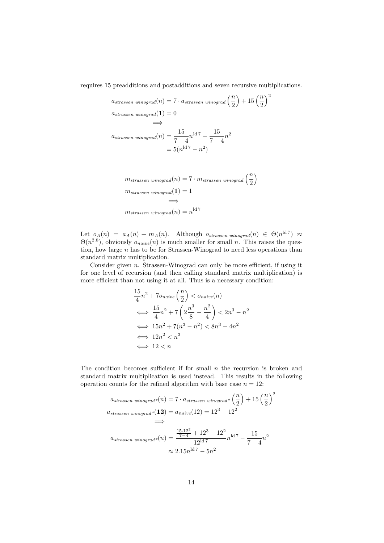requires 15 preadditions and postadditions and seven recursive multiplications.

$$
a_{strassen\ winograd}(n) = 7 \cdot a_{strassen\ winograd}\left(\frac{n}{2}\right) + 15\left(\frac{n}{2}\right)^2
$$
  
\n
$$
a_{strassen\ winograd}(1) = 0
$$
  
\n
$$
\implies
$$
  
\n
$$
a_{strassen\ winograd}(n) = \frac{15}{7-4}n^{1d7} - \frac{15}{7-4}n^2
$$
  
\n
$$
= 5(n^{1d7} - n^2)
$$
  
\n
$$
m_{strassen\ winograd}(n) = 7 \cdot m_{strassen\ winograd}\left(\frac{n}{2}\right)
$$
  
\n
$$
m_{strassen\ winograd}(1) = 1
$$

Let 
$$
o_A(n) = a_A(n) + m_A(n)
$$
. Although  $o_{strassen\ winograd}(n) \in \Theta(n^{\text{ld }7}) \approx \Theta(n^{2.8})$ , obviously  $o_{naive}(n)$  is much smaller for small *n*. This raises the question, how large *n* has to be for Strassen-Winograd to need less operations than standard matrix multiplication.

 $\approx$ 

=⇒

 $m_{strassen\_winograd}(n) = n^{\rm ld 7}$ 

Consider given n. Strassen-Winograd can only be more efficient, if using it for one level of recursion (and then calling standard matrix multiplication) is more efficient than not using it at all. Thus is a necessary condition:

$$
\frac{15}{4}n^2 + 7o_{naive} \left(\frac{n}{2}\right) < o_{naive}(n)
$$
\n
$$
\iff \frac{15}{4}n^2 + 7\left(2\frac{n^3}{8} - \frac{n^2}{4}\right) < 2n^3 - n^2
$$
\n
$$
\iff 15n^2 + 7(n^3 - n^2) < 8n^3 - 4n^2
$$
\n
$$
\iff 12n^2 < n^3
$$
\n
$$
\iff 12 < n
$$

The condition becomes sufficient if for small  $n$  the recursion is broken and standard matrix multiplication is used instead. This results in the following operation counts for the refined algorithm with base case  $n = 12$ :

$$
a_{strassen\ winograd}*(n) = 7 \cdot a_{strassen\ winograd}*\left(\frac{n}{2}\right) + 15\left(\frac{n}{2}\right)^2
$$
  
\n
$$
a_{strassen\ winograd}*(12) = a_{naive}(12) = 12^3 - 12^2
$$
  
\n
$$
\implies
$$
  
\n
$$
a_{strassen\ winograd}*(n) = \frac{\frac{15 \cdot 12^2}{7 - 4} + 12^3 - 12^2}{12^{1d}} n^{1d} - \frac{15}{7 - 4} n^2
$$
  
\n
$$
\approx 2.15 n^{1d} - 5n^2
$$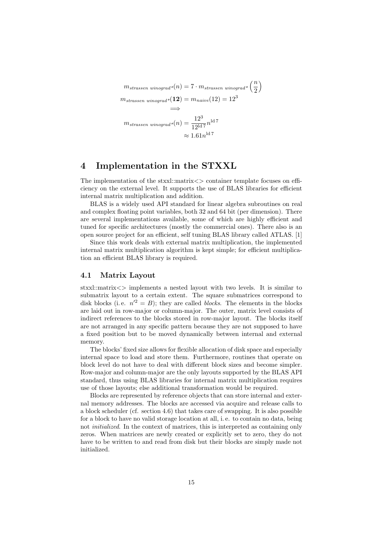$$
m_{strassen\ winograd}*(n) = 7 \cdot m_{strassen\ winograd}*\left(\frac{n}{2}\right)
$$
  

$$
m_{strassen\ winograd}*(12) = m_{naive}(12) = 12^3
$$
  

$$
\implies
$$
  

$$
m_{strassen\ winograd}*(n) = \frac{12^3}{12^{1d}} n^{1d}
$$
  

$$
\approx 1.61n^{1d}
$$

# 4 Implementation in the STXXL

The implementation of the stxxl::matrix  $\langle \rangle$  container template focuses on efficiency on the external level. It supports the use of BLAS libraries for efficient internal matrix multiplication and addition.

BLAS is a widely used API standard for linear algebra subroutines on real and complex floating point variables, both 32 and 64 bit (per dimension). There are several implementations available, some of which are highly efficient and tuned for specific architectures (mostly the commercial ones). There also is an open source project for an efficient, self tuning BLAS library called ATLAS. [1]

Since this work deals with external matrix multiplication, the implemented internal matrix multiplication algorithm is kept simple; for efficient multiplication an efficient BLAS library is required.

# 4.1 Matrix Layout

stxxl::matrix $\langle \rangle$  implements a nested layout with two levels. It is similar to submatrix layout to a certain extent. The square submatrices correspond to disk blocks (i.e.  $n'^2 = B$ ); they are called *blocks*. The elements in the blocks are laid out in row-major or column-major. The outer, matrix level consists of indirect references to the blocks stored in row-major layout. The blocks itself are not arranged in any specific pattern because they are not supposed to have a fixed position but to be moved dynamically between internal and external memory.

The blocks' fixed size allows for flexible allocation of disk space and especially internal space to load and store them. Furthermore, routines that operate on block level do not have to deal with different block sizes and become simpler. Row-major and column-major are the only layouts supported by the BLAS API standard, thus using BLAS libraries for internal matrix multiplication requires use of those layouts; else additional transformation would be required.

Blocks are represented by reference objects that can store internal and external memory addresses. The blocks are accessed via acquire and release calls to a block scheduler (cf. section 4.6) that takes care of swapping. It is also possible for a block to have no valid storage location at all, i. e. to contain no data, being not *initialized*. In the context of matrices, this is interpreted as containing only zeros. When matrices are newly created or explicitly set to zero, they do not have to be written to and read from disk but their blocks are simply made not initialized.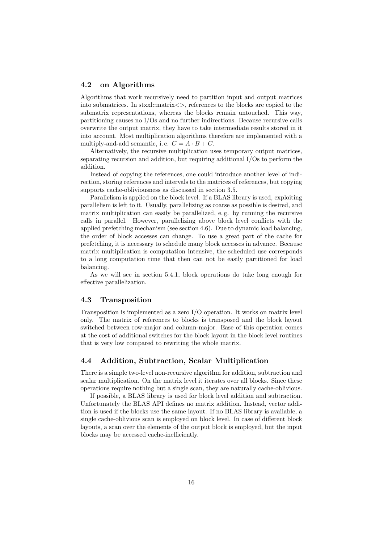# 4.2 on Algorithms

Algorithms that work recursively need to partition input and output matrices into submatrices. In stxxl::matrix<>, references to the blocks are copied to the submatrix representations, whereas the blocks remain untouched. This way, partitioning causes no I/Os and no further indirections. Because recursive calls overwrite the output matrix, they have to take intermediate results stored in it into account. Most multiplication algorithms therefore are implemented with a multiply-and-add semantic, i.e.  $C = A \cdot B + C$ .

Alternatively, the recursive multiplication uses temporary output matrices, separating recursion and addition, but requiring additional I/Os to perform the addition.

Instead of copying the references, one could introduce another level of indirection, storing references and intervals to the matrices of references, but copying supports cache-obliviousness as discussed in section 3.5.

Parallelism is applied on the block level. If a BLAS library is used, exploiting parallelism is left to it. Usually, parallelizing as coarse as possible is desired, and matrix multiplication can easily be parallelized, e. g. by running the recursive calls in parallel. However, parallelizing above block level conflicts with the applied prefetching mechanism (see section 4.6). Due to dynamic load balancing, the order of block accesses can change. To use a great part of the cache for prefetching, it is necessary to schedule many block accesses in advance. Because matrix multiplication is computation intensive, the scheduled use corresponds to a long computation time that then can not be easily partitioned for load balancing.

As we will see in section 5.4.1, block operations do take long enough for effective parallelization.

#### 4.3 Transposition

Transposition is implemented as a zero I/O operation. It works on matrix level only. The matrix of references to blocks is transposed and the block layout switched between row-major and column-major. Ease of this operation comes at the cost of additional switches for the block layout in the block level routines that is very low compared to rewriting the whole matrix.

# 4.4 Addition, Subtraction, Scalar Multiplication

There is a simple two-level non-recursive algorithm for addition, subtraction and scalar multiplication. On the matrix level it iterates over all blocks. Since these operations require nothing but a single scan, they are naturally cache-oblivious.

If possible, a BLAS library is used for block level addition and subtraction. Unfortunately the BLAS API defines no matrix addition. Instead, vector addition is used if the blocks use the same layout. If no BLAS library is available, a single cache-oblivious scan is employed on block level. In case of different block layouts, a scan over the elements of the output block is employed, but the input blocks may be accessed cache-inefficiently.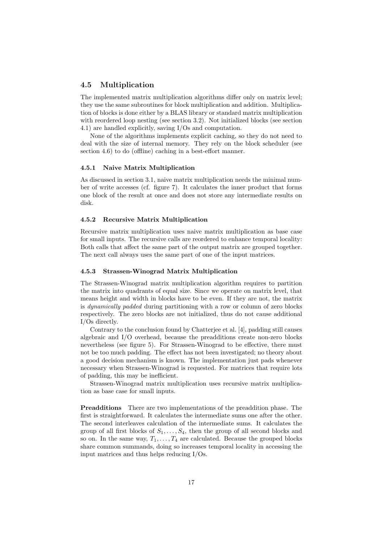## 4.5 Multiplication

The implemented matrix multiplication algorithms differ only on matrix level; they use the same subroutines for block multiplication and addition. Multiplication of blocks is done either by a BLAS library or standard matrix multiplication with reordered loop nesting (see section 3.2). Not initialized blocks (see section 4.1) are handled explicitly, saving I/Os and computation.

None of the algorithms implements explicit caching, so they do not need to deal with the size of internal memory. They rely on the block scheduler (see section 4.6) to do (offline) caching in a best-effort manner.

#### 4.5.1 Naive Matrix Multiplication

As discussed in section 3.1, naive matrix multiplication needs the minimal number of write accesses (cf. figure 7). It calculates the inner product that forms one block of the result at once and does not store any intermediate results on disk.

#### 4.5.2 Recursive Matrix Multiplication

Recursive matrix multiplication uses naive matrix multiplication as base case for small inputs. The recursive calls are reordered to enhance temporal locality: Both calls that affect the same part of the output matrix are grouped together. The next call always uses the same part of one of the input matrices.

## 4.5.3 Strassen-Winograd Matrix Multiplication

The Strassen-Winograd matrix multiplication algorithm requires to partition the matrix into quadrants of equal size. Since we operate on matrix level, that means height and width in blocks have to be even. If they are not, the matrix is dynamically padded during partitioning with a row or column of zero blocks respectively. The zero blocks are not initialized, thus do not cause additional I/Os directly.

Contrary to the conclusion found by Chatterjee et al. [4], padding still causes algebraic and I/O overhead, because the preadditions create non-zero blocks nevertheless (see figure 5). For Strassen-Winograd to be effective, there must not be too much padding. The effect has not been investigated; no theory about a good decision mechanism is known. The implementation just pads whenever necessary when Strassen-Winograd is requested. For matrices that require lots of padding, this may be inefficient.

Strassen-Winograd matrix multiplication uses recursive matrix multiplication as base case for small inputs.

Preadditions There are two implementations of the preaddition phase. The first is straightforward. It calculates the intermediate sums one after the other. The second interleaves calculation of the intermediate sums. It calculates the group of all first blocks of  $S_1, \ldots, S_4$ , then the group of all second blocks and so on. In the same way,  $T_1, \ldots, T_4$  are calculated. Because the grouped blocks share common summands, doing so increases temporal locality in accessing the input matrices and thus helps reducing I/Os.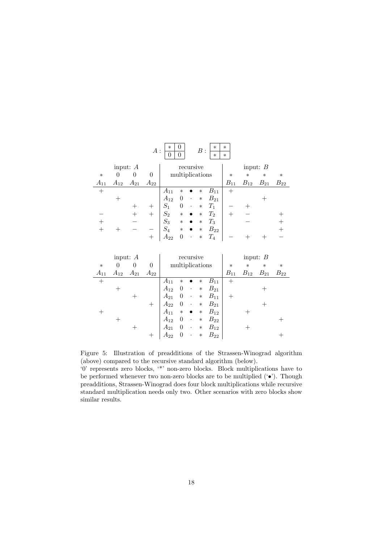|                         |          |          | $A$ :    | $\ast$   | 0<br>$\Omega$   |           | B:     | $\ast$<br>$\ast$   | $\ast$<br>$\ast$ |          |              |          |
|-------------------------|----------|----------|----------|----------|-----------------|-----------|--------|--------------------|------------------|----------|--------------|----------|
| recursive<br>input: $A$ |          |          |          |          |                 |           |        |                    | input: $B$       |          |              |          |
| $\ast$                  | 0        | 0        | $\theta$ |          | multiplications |           |        |                    | $\ast$           | $\ast$   | $\ast$       | $\ast$   |
| $A_{11}$                | $A_{12}$ | $A_{21}$ | $A_{22}$ |          |                 |           |        |                    | $B_{11}$         | $B_{12}$ | $\it B_{21}$ | $B_{22}$ |
| $^{+}$                  |          |          |          | $A_{11}$ | $\ast$          |           | $\ast$ | $B_{11}$           | $^{+}$           |          |              |          |
|                         |          |          |          | $A_{12}$ | $\theta$        | $\bullet$ | $\ast$ | $B_{21}$           |                  |          |              |          |
|                         |          |          |          | $S_1$    | $\theta$        | $\bullet$ | $\ast$ | $T_1$              |                  |          |              |          |
|                         |          |          |          | $S_2$    | $\ast$          |           | $\ast$ | $T_2$              |                  |          |              |          |
|                         |          |          |          | $S_3$    | $\ast$          |           | $\ast$ | $T_3$              |                  |          |              |          |
|                         |          |          |          | $S_4$    | $\ast$          |           | $\ast$ | $B_{22}$           |                  |          |              |          |
|                         |          |          |          | $A_{22}$ | 0               | $\bullet$ | $\ast$ | $\scriptstyle T_4$ |                  |          |              |          |

| input: $A$ |          |          |          | recursive       |          |           |        |          | input: $B$ |          |          |          |  |
|------------|----------|----------|----------|-----------------|----------|-----------|--------|----------|------------|----------|----------|----------|--|
| $\ast$     | $\theta$ | 0        | $\theta$ | multiplications |          |           |        | $\ast$   | $\ast$     | $\ast$   | $\ast$   |          |  |
| $A_{11}$   | $A_{12}$ | $A_{21}$ | $A_{22}$ |                 |          |           |        |          | $B_{11}$   | $B_{12}$ | $B_{21}$ | $B_{22}$ |  |
| $^{+}$     |          |          |          | $A_{11}$        | $\ast$   |           | $\ast$ | $B_{11}$ | $^{+}$     |          |          |          |  |
|            |          |          |          | $A_{12}$        | $\theta$ | $\bullet$ | $\ast$ | $B_{21}$ |            |          |          |          |  |
|            |          |          |          | $A_{21}$        | $\theta$ | ٠         | $\ast$ | $B_{11}$ |            |          |          |          |  |
|            |          |          |          | $A_{22}$        | $\theta$ | $\bullet$ | $\ast$ | $B_{21}$ |            |          |          |          |  |
|            |          |          |          | $A_{11}$        | $\ast$   | $\bullet$ | $\ast$ | $B_{12}$ |            |          |          |          |  |
|            |          |          |          | $A_{12}$        | $\theta$ | $\bullet$ | $\ast$ | $B_{22}$ |            |          |          |          |  |
|            |          |          |          | $A_{21}$        | $\theta$ | $\bullet$ | $\ast$ | $B_{12}$ |            |          |          |          |  |
|            |          |          |          | $A_{22}$        |          | $\bullet$ | $\ast$ | $B_{22}$ |            |          |          |          |  |

Figure 5: Illustration of preadditions of the Strassen-Winograd algorithm (above) compared to the recursive standard algorithm (below).

'0' represents zero blocks, '\*' non-zero blocks. Block multiplications have to be performed whenever two non-zero blocks are to be multiplied  $(•\bullet)$ . Though preadditions, Strassen-Winograd does four block multiplications while recursive standard multiplication needs only two. Other scenarios with zero blocks show similar results.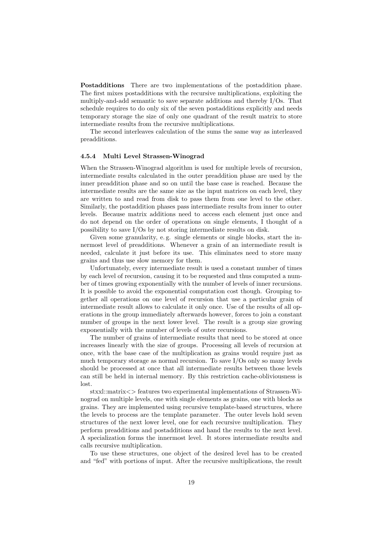Postadditions There are two implementations of the postaddition phase. The first mixes postadditions with the recursive multiplications, exploiting the multiply-and-add semantic to save separate additions and thereby I/Os. That schedule requires to do only six of the seven postadditions explicitly and needs temporary storage the size of only one quadrant of the result matrix to store intermediate results from the recursive multiplications.

The second interleaves calculation of the sums the same way as interleaved preadditions.

#### 4.5.4 Multi Level Strassen-Winograd

When the Strassen-Winograd algorithm is used for multiple levels of recursion, intermediate results calculated in the outer preaddition phase are used by the inner preaddition phase and so on until the base case is reached. Because the intermediate results are the same size as the input matrices on each level, they are written to and read from disk to pass them from one level to the other. Similarly, the postaddition phases pass intermediate results from inner to outer levels. Because matrix additions need to access each element just once and do not depend on the order of operations on single elements, I thought of a possibility to save I/Os by not storing intermediate results on disk.

Given some granularity, e.g. single elements or single blocks, start the innermost level of preadditions. Whenever a grain of an intermediate result is needed, calculate it just before its use. This eliminates need to store many grains and thus use slow memory for them.

Unfortunately, every intermediate result is used a constant number of times by each level of recursion, causing it to be requested and thus computed a number of times growing exponentially with the number of levels of inner recursions. It is possible to avoid the exponential computation cost though. Grouping together all operations on one level of recursion that use a particular grain of intermediate result allows to calculate it only once. Use of the results of all operations in the group immediately afterwards however, forces to join a constant number of groups in the next lower level. The result is a group size growing exponentially with the number of levels of outer recursions.

The number of grains of intermediate results that need to be stored at once increases linearly with the size of groups. Processing all levels of recursion at once, with the base case of the multiplication as grains would require just as much temporary storage as normal recursion. To save I/Os only so many levels should be processed at once that all intermediate results between those levels can still be held in internal memory. By this restriction cache-obliviousness is lost.

stxxl::matrix<> features two experimental implementations of Strassen-Winograd on multiple levels, one with single elements as grains, one with blocks as grains. They are implemented using recursive template-based structures, where the levels to process are the template parameter. The outer levels hold seven structures of the next lower level, one for each recursive multiplication. They perform preadditions and postadditions and hand the results to the next level. A specialization forms the innermost level. It stores intermediate results and calls recursive multiplication.

To use these structures, one object of the desired level has to be created and "fed" with portions of input. After the recursive multiplications, the result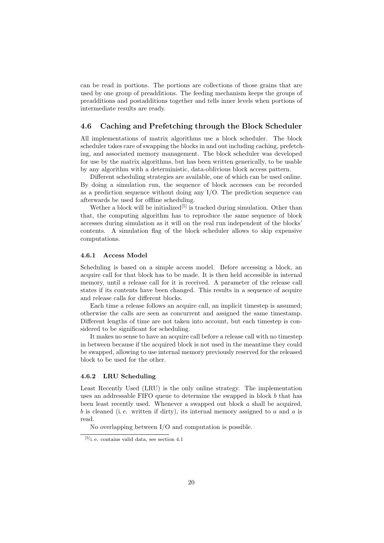can be read in portions. The portions are collections of those grains that are used by one group of preadditions. The feeding mechanism keeps the groups of preadditions and postadditions together and tells inner levels when portions of intermediate results are ready.

# 4.6 Caching and Prefetching through the Block Scheduler

All implementations of matrix algorithms use a block scheduler. The block scheduler takes care of swapping the blocks in and out including caching, prefetching, and associated memory management. The block scheduler was developed for use by the matrix algorithms, but has been written generically, to be usable by any algorithm with a deterministic, data-oblivious block access pattern.

Different scheduling strategies are available, one of which can be used online. By doing a simulation run, the sequence of block accesses can be recorded as a prediction sequence without doing any I/O. The prediction sequence can afterwards be used for offline scheduling.

Wether a block will be initialized<sup>[5]</sup> is tracked during simulation. Other than that, the computing algorithm has to reproduce the same sequence of block accesses during simulation as it will on the real run independent of the blocks' contents. A simulation flag of the block scheduler allows to skip expensive computations.

#### 4.6.1 Access Model

Scheduling is based on a simple access model. Before accessing a block, an acquire call for that block has to be made. It is then held accessible in internal memory, until a release call for it is received. A parameter of the release call states if its contents have been changed. This results in a sequence of acquire and release calls for different blocks.

Each time a release follows an acquire call, an implicit timestep is assumed; otherwise the calls are seen as concurrent and assigned the same timestamp. Different lengths of time are not taken into account, but each timestep is considered to be significant for scheduling.

It makes no sense to have an acquire call before a release call with no timestep in between because if the acquired block is not used in the meantime they could be swapped, allowing to use internal memory previously reserved for the released block to be used for the other.

# 4.6.2 LRU Scheduling

Least Recently Used (LRU) is the only online strategy. The implementation uses an addressable FIFO queue to determine the swapped in block b that has been least recently used. Whenever a swapped out block a shall be acquired. b is cleaned (i.e. written if dirty), its internal memory assigned to  $a$  and  $a$  is read.

No overlapping between I/O and computation is possible.

<sup>[5]</sup>i. e. contains valid data, see section 4.1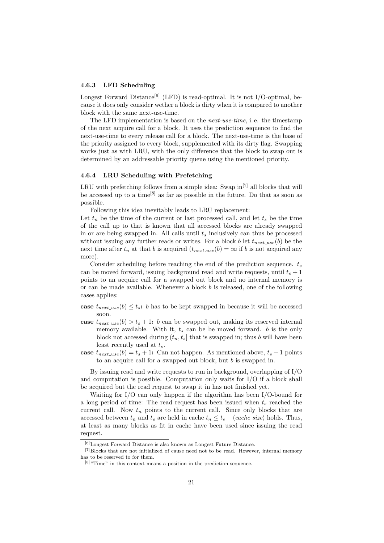#### 4.6.3 LFD Scheduling

Longest Forward Distance<sup>[6]</sup> (LFD) is read-optimal. It is not I/O-optimal, because it does only consider wether a block is dirty when it is compared to another block with the same next-use-time.

The LFD implementation is based on the next-use-time, i. e. the timestamp of the next acquire call for a block. It uses the prediction sequence to find the next-use-time to every release call for a block. The next-use-time is the base of the priority assigned to every block, supplemented with its dirty flag. Swapping works just as with LRU, with the only difference that the block to swap out is determined by an addressable priority queue using the mentioned priority.

#### 4.6.4 LRU Scheduling with Prefetching

LRU with prefetching follows from a simple idea: Swap  $\text{in}^{[7]}$  all blocks that will be accessed up to a time<sup>[8]</sup> as far as possible in the future. Do that as soon as possible.

Following this idea inevitably leads to LRU replacement:

Let  $t_n$  be the time of the current or last processed call, and let  $t_s$  be the time of the call up to that is known that all accessed blocks are already swapped in or are being swapped in. All calls until  $t_s$  inclusively can thus be processed without issuing any further reads or writes. For a block b let  $t_{next\_use}(b)$  be the next time after  $t_n$  at that b is acquired  $(t_{next\_use}(b) = \infty)$  if b is not acquired any more).

Consider scheduling before reaching the end of the prediction sequence.  $t_s$ can be moved forward, issuing background read and write requests, until  $t_s + 1$ points to an acquire call for a swapped out block and no internal memory is or can be made available. Whenever a block  $b$  is released, one of the following cases applies:

- case  $t_{next\_use}(b) \leq t_s$ : b has to be kept swapped in because it will be accessed soon.
- case  $t_{next\_use}(b) > t_s + 1$ : b can be swapped out, making its reserved internal memory available. With it,  $t_s$  can be be moved forward. b is the only block not accessed during  $(t_n, t_s]$  that is swapped in; thus b will have been least recently used at  $t_s$ .
- case  $t_{next\_use}(b) = t_s + 1$ : Can not happen. As mentioned above,  $t_s + 1$  points to an acquire call for a swapped out block, but b is swapped in.

By issuing read and write requests to run in background, overlapping of I/O and computation is possible. Computation only waits for I/O if a block shall be acquired but the read request to swap it in has not finished yet.

Waiting for I/O can only happen if the algorithm has been I/O-bound for a long period of time: The read request has been issued when  $t_s$  reached the current call. Now  $t_n$  points to the current call. Since only blocks that are accessed between  $t_n$  and  $t_s$  are held in cache  $t_n \leq t_s - \langle cache \ size \rangle$  holds. Thus, at least as many blocks as fit in cache have been used since issuing the read request.

 $\rm ^{[6]}$  Longest Forward Distance is also known as Longest Future Distance.

 $[7]$ Blocks that are not initialized of cause need not to be read. However, internal memory has to be reserved to for them.

 $[8]$  "Time" in this context means a position in the prediction sequence.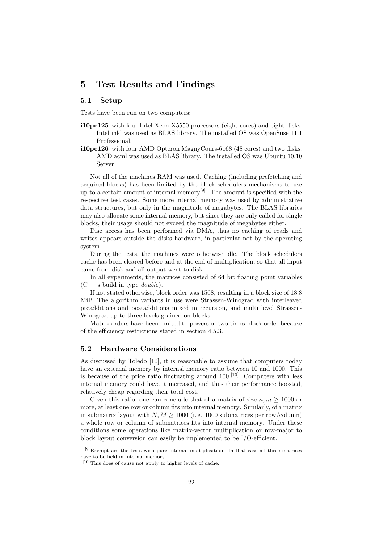# 5 Test Results and Findings

## 5.1 Setup

Tests have been run on two computers:

- i10pc125 with four Intel Xeon-X5550 processors (eight cores) and eight disks. Intel mkl was used as BLAS library. The installed OS was OpenSuse 11.1 Professional.
- i10pc126 with four AMD Opteron MagnyCours-6168 (48 cores) and two disks. AMD acml was used as BLAS library. The installed OS was Ubuntu 10.10 Server

Not all of the machines RAM was used. Caching (including prefetching and acquired blocks) has been limited by the block schedulers mechanisms to use up to a certain amount of internal memory<sup>[9]</sup>. The amount is specified with the respective test cases. Some more internal memory was used by administrative data structures, but only in the magnitude of megabytes. The BLAS libraries may also allocate some internal memory, but since they are only called for single blocks, their usage should not exceed the magnitude of megabytes either.

Disc access has been performed via DMA, thus no caching of reads and writes appears outside the disks hardware, in particular not by the operating system.

During the tests, the machines were otherwise idle. The block schedulers cache has been cleared before and at the end of multiplication, so that all input came from disk and all output went to disk.

In all experiments, the matrices consisted of 64 bit floating point variables  $(C++s$  build in type *double*).

If not stated otherwise, block order was 1568, resulting in a block size of 18.8 MiB. The algorithm variants in use were Strassen-Winograd with interleaved preadditions and postadditions mixed in recursion, and multi level Strassen-Winograd up to three levels grained on blocks.

Matrix orders have been limited to powers of two times block order because of the efficiency restrictions stated in section 4.5.3.

# 5.2 Hardware Considerations

As discussed by Toledo [10], it is reasonable to assume that computers today have an external memory by internal memory ratio between 10 and 1000. This is because of the price ratio fluctuating around  $100$ .<sup>[10]</sup> Computers with less internal memory could have it increased, and thus their performance boosted, relatively cheap regarding their total cost.

Given this ratio, one can conclude that of a matrix of size  $n, m \geq 1000$  or more, at least one row or column fits into internal memory. Similarly, of a matrix in submatrix layout with  $N, M \geq 1000$  (i.e. 1000 submatrices per row/column) a whole row or column of submatrices fits into internal memory. Under these conditions some operations like matrix-vector multiplication or row-major to block layout conversion can easily be implemented to be  $I/O$ -efficient.

<sup>[9]</sup>Exempt are the tests with pure internal multiplication. In that case all three matrices have to be held in internal memory.

<sup>[10]</sup>This does of cause not apply to higher levels of cache.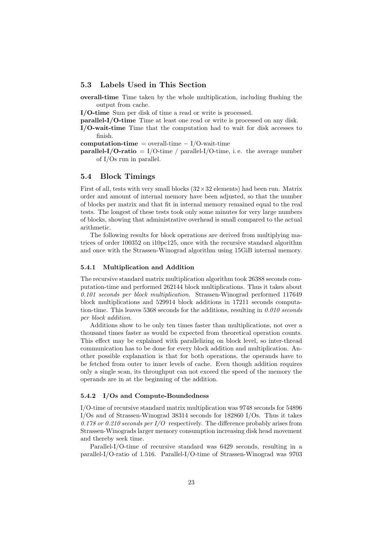## 5.3 Labels Used in This Section

overall-time Time taken by the whole multiplication, including flushing the output from cache.

I/O-time Sum per disk of time a read or write is processed.

parallel-I/O-time Time at least one read or write is processed on any disk.

I/O-wait-time Time that the computation had to wait for disk accesses to finish.

computation-time = overall-time  $- I/O$ -wait-time

**parallel-I/O-ratio** = I/O-time / parallel-I/O-time, i.e. the average number of I/Os run in parallel.

### 5.4 Block Timings

First of all, tests with very small blocks  $(32 \times 32)$  elements) had been run. Matrix order and amount of internal memory have been adjusted, so that the number of blocks per matrix and that fit in internal memory remained equal to the real tests. The longest of these tests took only some minutes for very large numbers of blocks, showing that administrative overhead is small compared to the actual arithmetic.

The following results for block operations are derived from multiplying matrices of order 100352 on i10pc125, once with the recursive standard algorithm and once with the Strassen-Winograd algorithm using 15GiB internal memory.

#### 5.4.1 Multiplication and Addition

The recursive standard matrix multiplication algorithm took 26388 seconds computation-time and performed 262144 block multiplications. Thus it takes about 0.101 seconds per block multiplication. Strassen-Winograd performed 117649 block multiplications and 529914 block additions in 17211 seconds computation-time. This leaves  $5368$  seconds for the additions, resulting in  $0.010$  seconds per block addition.

Additions show to be only ten times faster than multiplications, not over a thousand times faster as would be expected from theoretical operation counts. This effect may be explained with parallelizing on block level, so inter-thread communication has to be done for every block addition and multiplication. Another possible explanation is that for both operations, the operands have to be fetched from outer to inner levels of cache. Even though addition requires only a single scan, its throughput can not exceed the speed of the memory the operands are in at the beginning of the addition.

#### 5.4.2 I/Os and Compute-Boundedness

I/O-time of recursive standard matrix multiplication was 9748 seconds for 54896 I/Os and of Strassen-Winograd 38314 seconds for 182860 I/Os. Thus it takes 0.178 or 0.210 seconds per  $I/O$  respectively. The difference probably arises from Strassen-Winograds larger memory consumption increasing disk head movement and thereby seek time.

Parallel-I/O-time of recursive standard was 6429 seconds, resulting in a parallel-I/O-ratio of 1.516. Parallel-I/O-time of Strassen-Winograd was 9703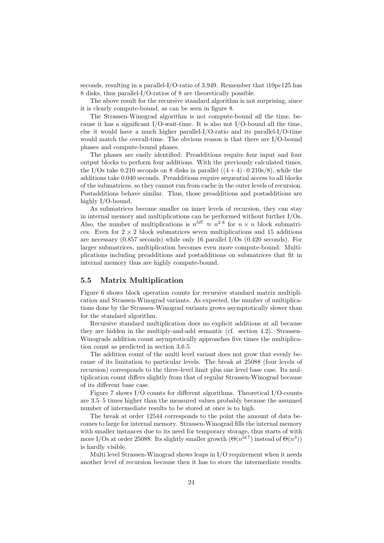seconds, resulting in a parallel-I/O-ratio of 3,949. Remember that i10pc125 has 8 disks, thus parallel-I/O-ratios of 8 are theoretically possible.

The above result for the recursive standard algorithm is not surprising, since it is clearly compute-bound, as can be seen in figure 8.

The Strassen-Winograd algorithm is not compute-bound all the time, because it has a significant I/O-wait-time. It is also not I/O-bound all the time, else it would have a much higher parallel-I/O-ratio and its parallel-I/O-time would match the overall-time. The obvious reason is that there are I/O-bound phases and compute-bound phases.

The phases are easily identified: Preadditions require four input and four output blocks to perform four additions. With the previously calculated times, the I/Os take 0.210 seconds on 8 disks in parallel  $((4+4)\cdot 0.210s/8)$ , while the additions take 0.040 seconds. Preadditions require sequential access to all blocks of the submatrices, so they cannot run from cache in the outer levels of recursion. Postadditions behave similar. Thus, those preadditions and postadditions are highly I/O-bound.

As submatrices become smaller on inner levels of recursion, they can stay in internal memory and multiplications can be performed without further I/Os. Also, the number of multiplications is  $n^{ld7} \approx n^{2.8}$  for  $n \times n$  block submatrices. Even for  $2 \times 2$  block submatrices seven multiplications and 15 additions are necessary (0.857 seconds) while only 16 parallel I/Os (0.420 seconds). For larger submatrices, multiplication becomes even more compute-bound. Multiplications including preadditions and postadditions on submatrices that fit in internal memory thus are highly compute-bound.

## 5.5 Matrix Multiplication

Figure 6 shows block operation counts for recursive standard matrix multiplication and Strassen-Winograd variants. As expected, the number of multiplications done by the Strassen-Winograd variants grows asymptotically slower than for the standard algorithm.

Recursive standard multiplication does no explicit additions at all because they are hidden in the multiply-and-add semantic (cf. section 4.2). Strassen-Winograds addition count asymptotically approaches five times the multiplication count as predicted in section 3.6.5.

The addition count of the multi level variant does not grow that evenly because of its limitation to particular levels. The break at 25088 (four levels of recursion) corresponds to the three-level limit plus one level base case. Its multiplication count differs slightly from that of regular Strassen-Winograd because of its different base case.

Figure 7 shows I/O counts for different algorithms. Theoretical I/O-counts are 3.5–5 times higher than the measured values probably because the assumed number of intermediate results to be stored at once is to high.

The break at order 12544 corresponds to the point the amount of data becomes to large for internal memory. Strassen-Winograd fills the internal memory with smaller instances due to its need for temporary storage, thus starts of with more I/Os at order 25088. Its slightly smaller growth  $(\Theta(n^{\text{ld}}^7)$  instead of  $\Theta(n^3)$ ) is hardly visible.

Multi level Strassen-Winograd shows leaps in I/O requirement when it needs another level of recursion because then it has to store the intermediate results.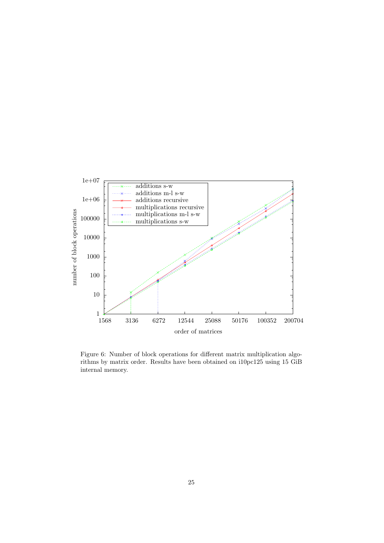

Figure 6: Number of block operations for different matrix multiplication algorithms by matrix order. Results have been obtained on i10pc125 using 15 GiB internal memory.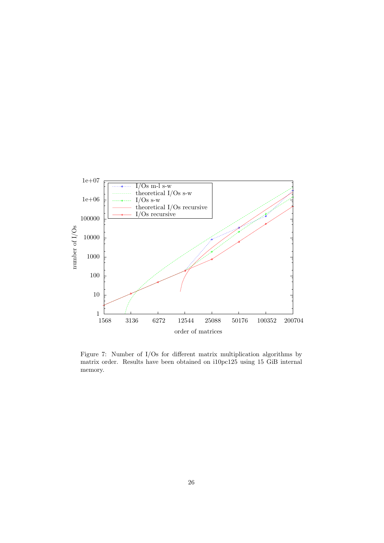

Figure 7: Number of I/Os for different matrix multiplication algorithms by matrix order. Results have been obtained on i10pc125 using 15 GiB internal memory.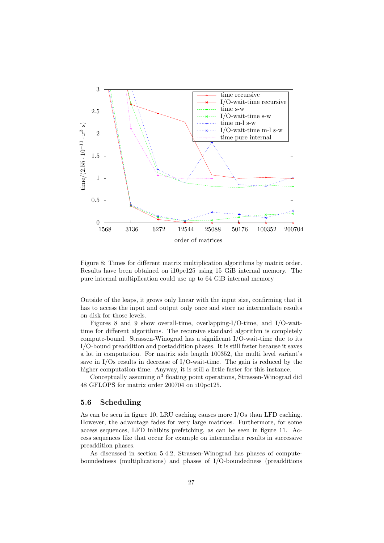

Figure 8: Times for different matrix multiplication algorithms by matrix order. Results have been obtained on i10pc125 using 15 GiB internal memory. The pure internal multiplication could use up to 64 GiB internal memory

Outside of the leaps, it grows only linear with the input size, confirming that it has to access the input and output only once and store no intermediate results on disk for those levels.

Figures 8 and 9 show overall-time, overlapping-I/O-time, and I/O-waittime for different algorithms. The recursive standard algorithm is completely compute-bound. Strassen-Winograd has a significant I/O-wait-time due to its I/O-bound preaddition and postaddition phases. It is still faster because it saves a lot in computation. For matrix side length 100352, the multi level variant's save in  $I/Os$  results in decrease of  $I/O$ -wait-time. The gain is reduced by the higher computation-time. Anyway, it is still a little faster for this instance.

Conceptually assuming  $n^3$  floating point operations, Strassen-Winograd did 48 GFLOPS for matrix order 200704 on i10pc125.

## 5.6 Scheduling

As can be seen in figure 10, LRU caching causes more I/Os than LFD caching. However, the advantage fades for very large matrices. Furthermore, for some access sequences, LFD inhibits prefetching, as can be seen in figure 11. Access sequences like that occur for example on intermediate results in successive preaddition phases.

As discussed in section 5.4.2, Strassen-Winograd has phases of computeboundedness (multiplications) and phases of I/O-boundedness (preadditions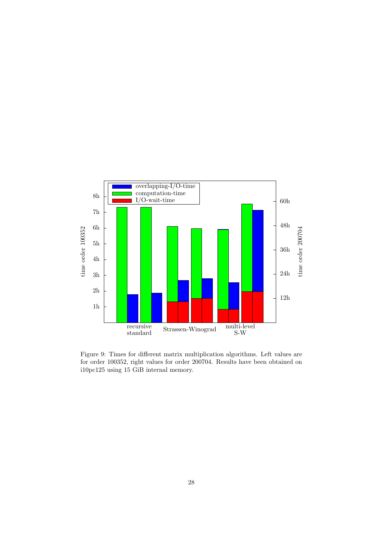

Figure 9: Times for different matrix multiplication algorithms. Left values are for order 100352, right values for order 200704. Results have been obtained on i10pc125 using 15 GiB internal memory.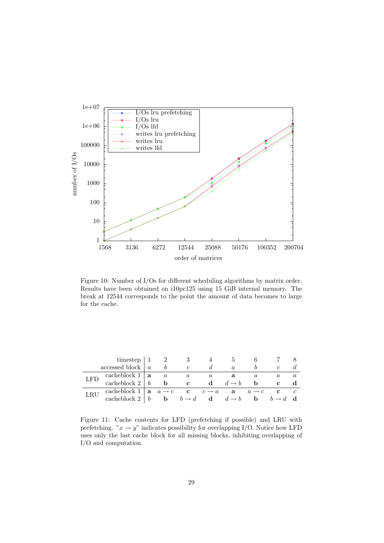

Figure 10: Number of I/Os for different scheduling algorithms by matrix order. Results have been obtained on i10pc125 using 15 GiB internal memory. The break at 12544 corresponds to the point the amount of data becomes to large for the cache.

| timestep $\vert 1$   |                                                                                                 |  |                  |                  |          |                                                                |     |              |  |
|----------------------|-------------------------------------------------------------------------------------------------|--|------------------|------------------|----------|----------------------------------------------------------------|-----|--------------|--|
| accessed block $ a $ |                                                                                                 |  |                  |                  |          |                                                                |     |              |  |
| LFD                  | cacheblock $1   \mathbf{a}$                                                                     |  | $\boldsymbol{a}$ | $\boldsymbol{a}$ | $\alpha$ | a                                                              |     |              |  |
|                      | cacheblock $2 \mid b$                                                                           |  | $\mathbf b$      | $\mathbf{c}$     |          | <b>d</b> $d \rightarrow b$                                     | - b | $\mathbf{c}$ |  |
|                      | cacheblock 1   <b>a</b> $a \rightarrow c$ <b>c</b> $c \rightarrow a$ <b>a</b> $a \rightarrow c$ |  |                  |                  |          |                                                                |     | $\mathbf{c}$ |  |
|                      | cacheblock $2 \mid b$                                                                           |  |                  |                  |          | <b>b</b> $b \rightarrow d$ <b>d</b> $d \rightarrow b$ <b>b</b> |     |              |  |

Figure 11: Cache contents for LFD (prefetching if possible) and LRU with prefetching. " $x \to y$ " indicates possibility for overlapping I/O. Notice how LFD uses only the last cache block for all missing blocks, inhibiting overlapping of I/O and computation.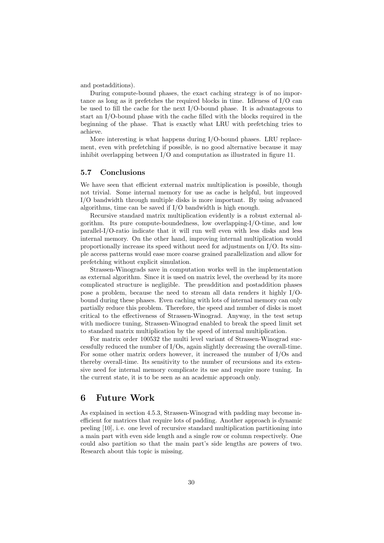and postadditions).

During compute-bound phases, the exact caching strategy is of no importance as long as it prefetches the required blocks in time. Idleness of I/O can be used to fill the cache for the next I/O-bound phase. It is advantageous to start an I/O-bound phase with the cache filled with the blocks required in the beginning of the phase. That is exactly what LRU with prefetching tries to achieve.

More interesting is what happens during I/O-bound phases. LRU replacement, even with prefetching if possible, is no good alternative because it may inhibit overlapping between I/O and computation as illustrated in figure 11.

## 5.7 Conclusions

We have seen that efficient external matrix multiplication is possible, though not trivial. Some internal memory for use as cache is helpful, but improved I/O bandwidth through multiple disks is more important. By using advanced algorithms, time can be saved if I/O bandwidth is high enough.

Recursive standard matrix multiplication evidently is a robust external algorithm. Its pure compute-boundedness, low overlapping-I/O-time, and low parallel-I/O-ratio indicate that it will run well even with less disks and less internal memory. On the other hand, improving internal multiplication would proportionally increase its speed without need for adjustments on I/O. Its simple access patterns would ease more coarse grained parallelization and allow for prefetching without explicit simulation.

Strassen-Winograds save in computation works well in the implementation as external algorithm. Since it is used on matrix level, the overhead by its more complicated structure is negligible. The preaddition and postaddition phases pose a problem, because the need to stream all data renders it highly I/Obound during these phases. Even caching with lots of internal memory can only partially reduce this problem. Therefore, the speed and number of disks is most critical to the effectiveness of Strassen-Winograd. Anyway, in the test setup with mediocre tuning, Strassen-Winograd enabled to break the speed limit set to standard matrix multiplication by the speed of internal multiplication.

For matrix order 100532 the multi level variant of Strassen-Winograd successfully reduced the number of I/Os, again slightly decreasing the overall-time. For some other matrix orders however, it increased the number of I/Os and thereby overall-time. Its sensitivity to the number of recursions and its extensive need for internal memory complicate its use and require more tuning. In the current state, it is to be seen as an academic approach only.

# 6 Future Work

As explained in section 4.5.3, Strassen-Winograd with padding may become inefficient for matrices that require lots of padding. Another approach is dynamic peeling [10], i. e. one level of recursive standard multiplication partitioning into a main part with even side length and a single row or column respectively. One could also partition so that the main part's side lengths are powers of two. Research about this topic is missing.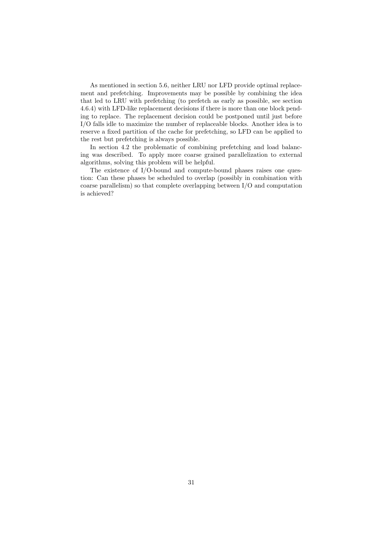As mentioned in section 5.6, neither LRU nor LFD provide optimal replacement and prefetching. Improvements may be possible by combining the idea that led to LRU with prefetching (to prefetch as early as possible, see section 4.6.4) with LFD-like replacement decisions if there is more than one block pending to replace. The replacement decision could be postponed until just before I/O falls idle to maximize the number of replaceable blocks. Another idea is to reserve a fixed partition of the cache for prefetching, so LFD can be applied to the rest but prefetching is always possible.

In section 4.2 the problematic of combining prefetching and load balancing was described. To apply more coarse grained parallelization to external algorithms, solving this problem will be helpful.

The existence of I/O-bound and compute-bound phases raises one question: Can these phases be scheduled to overlap (possibly in combination with coarse parallelism) so that complete overlapping between I/O and computation is achieved?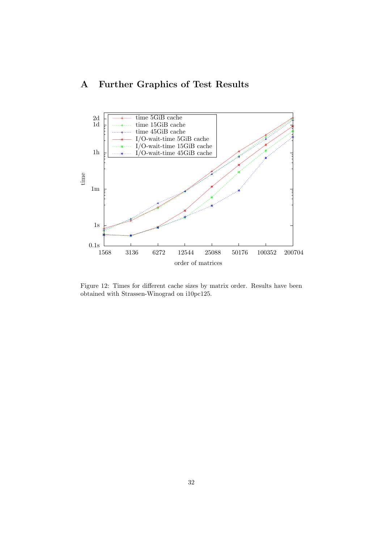# A Further Graphics of Test Results



Figure 12: Times for different cache sizes by matrix order. Results have been obtained with Strassen-Winograd on i10pc125.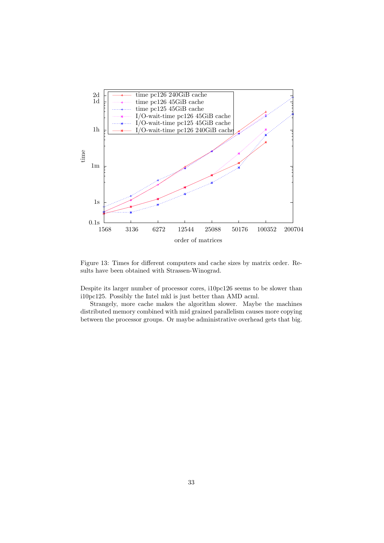

Figure 13: Times for different computers and cache sizes by matrix order. Results have been obtained with Strassen-Winograd.

Despite its larger number of processor cores, i10pc126 seems to be slower than i10pc125. Possibly the Intel mkl is just better than AMD acml.

Strangely, more cache makes the algorithm slower. Maybe the machines distributed memory combined with mid grained parallelism causes more copying between the processor groups. Or maybe administrative overhead gets that big.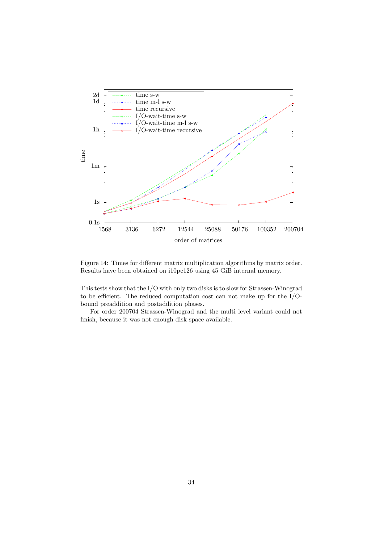

Figure 14: Times for different matrix multiplication algorithms by matrix order. Results have been obtained on i10pc126 using 45 GiB internal memory.

This tests show that the I/O with only two disks is to slow for Strassen-Winograd to be efficient. The reduced computation cost can not make up for the I/Obound preaddition and postaddition phases.

For order 200704 Strassen-Winograd and the multi level variant could not finish, because it was not enough disk space available.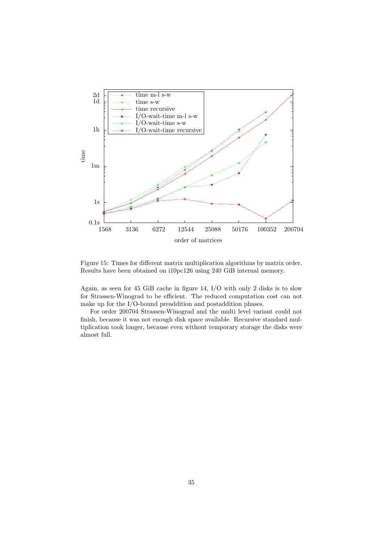

Figure 15: Times for different matrix multiplication algorithms by matrix order. Results have been obtained on i10pc126 using 240 GiB internal memory.

Again, as seen for 45 GiB cache in figure 14, I/O with only 2 disks is to slow for Strassen-Winograd to be efficient. The reduced computation cost can not make up for the I/O-bound preaddition and postaddition phases.

For order 200704 Strassen-Winograd and the multi level variant could not finish, because it was not enough disk space available. Recursive standard multiplication took longer, because even without temporary storage the disks were almost full.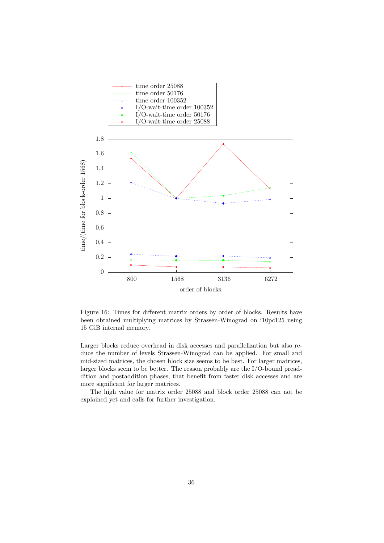

Figure 16: Times for different matrix orders by order of blocks. Results have been obtained multiplying matrices by Strassen-Winograd on i10pc125 using 15 GiB internal memory.

Larger blocks reduce overhead in disk accesses and parallelization but also reduce the number of levels Strassen-Winograd can be applied. For small and mid-sized matrices, the chosen block size seems to be best. For larger matrices, larger blocks seem to be better. The reason probably are the I/O-bound preaddition and postaddition phases, that benefit from faster disk accesses and are more significant for larger matrices.

The high value for matrix order 25088 and block order 25088 can not be explained yet and calls for further investigation.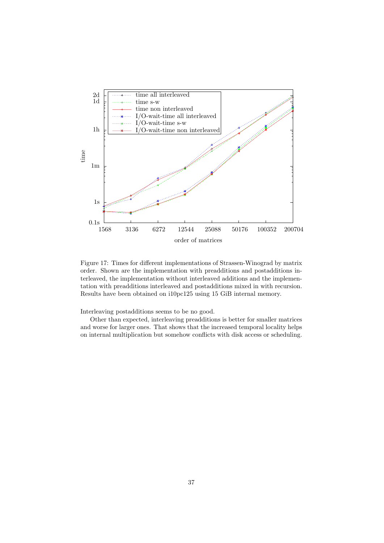

Figure 17: Times for different implementations of Strassen-Winograd by matrix order. Shown are the implementation with preadditions and postadditions interleaved, the implementation without interleaved additions and the implementation with preadditions interleaved and postadditions mixed in with recursion. Results have been obtained on i10pc125 using 15 GiB internal memory.

Interleaving postadditions seems to be no good.

Other than expected, interleaving preadditions is better for smaller matrices and worse for larger ones. That shows that the increased temporal locality helps on internal multiplication but somehow conflicts with disk access or scheduling.